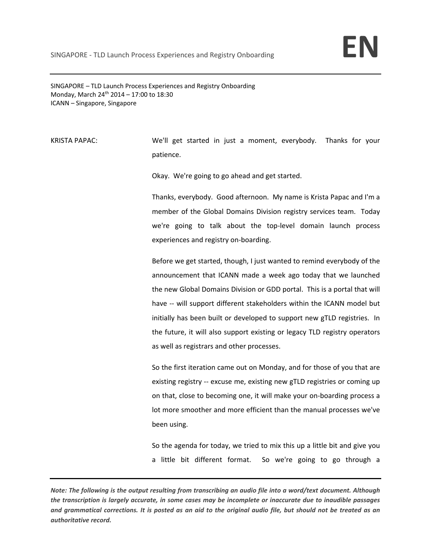SINGAPORE – TLD Launch Process Experiences and Registry Onboarding Monday, March 24<sup>th</sup> 2014 – 17:00 to 18:30 ICANN – Singapore, Singapore

KRISTA PAPAC: We'll get started in just a moment, everybody. Thanks for your patience.

Okay. We're going to go ahead and get started.

Thanks, everybody. Good afternoon. My name is Krista Papac and I'm a member of the Global Domains Division registry services team. Today we're going to talk about the top-level domain launch process experiences and registry on‐boarding.

Before we get started, though, I just wanted to remind everybody of the announcement that ICANN made a week ago today that we launched the new Global Domains Division or GDD portal. This is a portal that will have -- will support different stakeholders within the ICANN model but initially has been built or developed to support new gTLD registries. In the future, it will also support existing or legacy TLD registry operators as well as registrars and other processes.

So the first iteration came out on Monday, and for those of you that are existing registry ‐‐ excuse me, existing new gTLD registries or coming up on that, close to becoming one, it will make your on‐boarding process a lot more smoother and more efficient than the manual processes we've been using.

So the agenda for today, we tried to mix this up a little bit and give you a little bit different format. So we're going to go through a

Note: The following is the output resulting from transcribing an audio file into a word/text document. Although the transcription is largely accurate, in some cases may be incomplete or inaccurate due to inaudible passages and grammatical corrections. It is posted as an aid to the original audio file, but should not be treated as an *authoritative record.*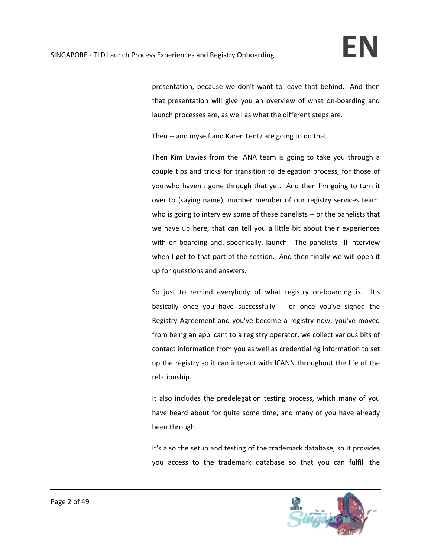presentation, because we don't want to leave that behind. And then that presentation will give you an overview of what on‐boarding and launch processes are, as well as what the different steps are.

Then -- and myself and Karen Lentz are going to do that.

Then Kim Davies from the IANA team is going to take you through a couple tips and tricks for transition to delegation process, for those of you who haven't gone through that yet. And then I'm going to turn it over to (saying name), number member of our registry services team, who is going to interview some of these panelists -- or the panelists that we have up here, that can tell you a little bit about their experiences with on-boarding and, specifically, launch. The panelists I'll interview when I get to that part of the session. And then finally we will open it up for questions and answers.

So just to remind everybody of what registry on-boarding is. It's basically once you have successfully ‐‐ or once you've signed the Registry Agreement and you've become a registry now, you've moved from being an applicant to a registry operator, we collect various bits of contact information from you as well as credentialing information to set up the registry so it can interact with ICANN throughout the life of the relationship.

It also includes the predelegation testing process, which many of you have heard about for quite some time, and many of you have already been through.

It's also the setup and testing of the trademark database, so it provides you access to the trademark database so that you can fulfill the

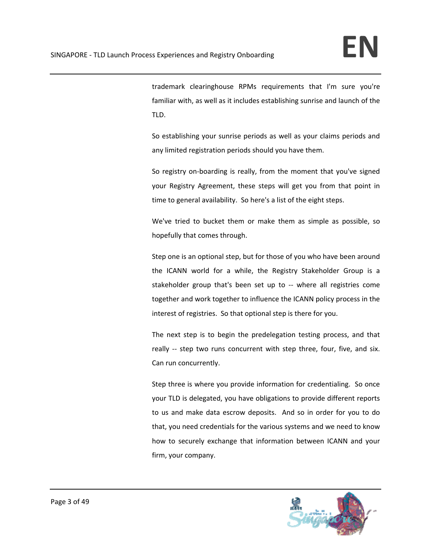trademark clearinghouse RPMs requirements that I'm sure you're familiar with, as well as it includes establishing sunrise and launch of the TLD.

So establishing your sunrise periods as well as your claims periods and any limited registration periods should you have them.

So registry on‐boarding is really, from the moment that you've signed your Registry Agreement, these steps will get you from that point in time to general availability. So here's a list of the eight steps.

We've tried to bucket them or make them as simple as possible, so hopefully that comes through.

Step one is an optional step, but for those of you who have been around the ICANN world for a while, the Registry Stakeholder Group is a stakeholder group that's been set up to ‐‐ where all registries come together and work together to influence the ICANN policy process in the interest of registries. So that optional step is there for you.

The next step is to begin the predelegation testing process, and that really -- step two runs concurrent with step three, four, five, and six. Can run concurrently.

Step three is where you provide information for credentialing. So once your TLD is delegated, you have obligations to provide different reports to us and make data escrow deposits. And so in order for you to do that, you need credentials for the various systems and we need to know how to securely exchange that information between ICANN and your firm, your company.

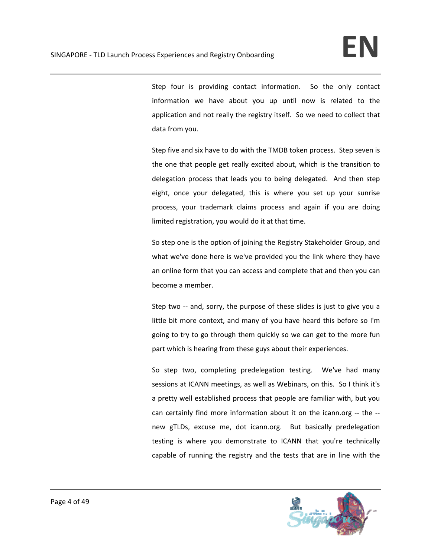Step four is providing contact information. So the only contact information we have about you up until now is related to the application and not really the registry itself. So we need to collect that data from you.

Step five and six have to do with the TMDB token process. Step seven is the one that people get really excited about, which is the transition to delegation process that leads you to being delegated. And then step eight, once your delegated, this is where you set up your sunrise process, your trademark claims process and again if you are doing limited registration, you would do it at that time.

So step one is the option of joining the Registry Stakeholder Group, and what we've done here is we've provided you the link where they have an online form that you can access and complete that and then you can become a member.

Step two -- and, sorry, the purpose of these slides is just to give you a little bit more context, and many of you have heard this before so I'm going to try to go through them quickly so we can get to the more fun part which is hearing from these guys about their experiences.

So step two, completing predelegation testing. We've had many sessions at ICANN meetings, as well as Webinars, on this. So I think it's a pretty well established process that people are familiar with, but you can certainly find more information about it on the icann.org ‐‐ the ‐‐ new gTLDs, excuse me, dot icann.org. But basically predelegation testing is where you demonstrate to ICANN that you're technically capable of running the registry and the tests that are in line with the

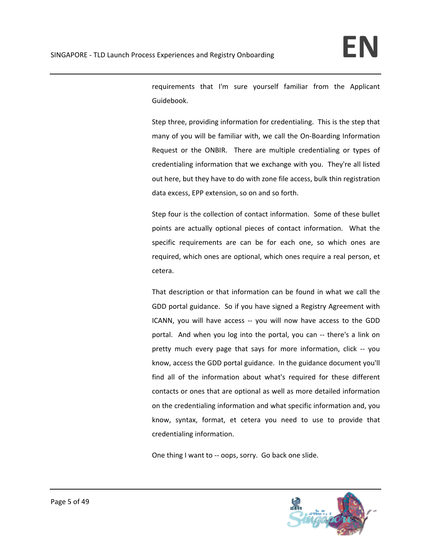requirements that I'm sure yourself familiar from the Applicant Guidebook.

Step three, providing information for credentialing. This is the step that many of you will be familiar with, we call the On‐Boarding Information Request or the ONBIR. There are multiple credentialing or types of credentialing information that we exchange with you. They're all listed out here, but they have to do with zone file access, bulk thin registration data excess, EPP extension, so on and so forth.

Step four is the collection of contact information. Some of these bullet points are actually optional pieces of contact information. What the specific requirements are can be for each one, so which ones are required, which ones are optional, which ones require a real person, et cetera.

That description or that information can be found in what we call the GDD portal guidance. So if you have signed a Registry Agreement with ICANN, you will have access -- you will now have access to the GDD portal. And when you log into the portal, you can ‐‐ there's a link on pretty much every page that says for more information, click ‐‐ you know, access the GDD portal guidance. In the guidance document you'll find all of the information about what's required for these different contacts or ones that are optional as well as more detailed information on the credentialing information and what specific information and, you know, syntax, format, et cetera you need to use to provide that credentialing information.

One thing I want to ‐‐ oops, sorry. Go back one slide.

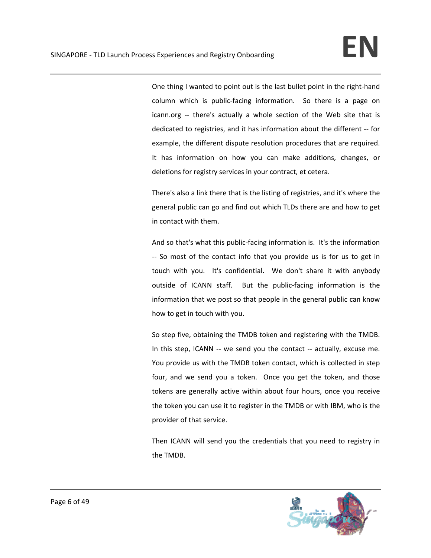One thing I wanted to point out is the last bullet point in the right-hand column which is public-facing information. So there is a page on icann.org -- there's actually a whole section of the Web site that is dedicated to registries, and it has information about the different ‐‐ for example, the different dispute resolution procedures that are required. It has information on how you can make additions, changes, or deletions for registry services in your contract, et cetera.

There's also a link there that is the listing of registries, and it's where the general public can go and find out which TLDs there are and how to get in contact with them.

And so that's what this public‐facing information is. It's the information ‐‐ So most of the contact info that you provide us is for us to get in touch with you. It's confidential. We don't share it with anybody outside of ICANN staff. But the public-facing information is the information that we post so that people in the general public can know how to get in touch with you.

So step five, obtaining the TMDB token and registering with the TMDB. In this step, ICANN -- we send you the contact -- actually, excuse me. You provide us with the TMDB token contact, which is collected in step four, and we send you a token. Once you get the token, and those tokens are generally active within about four hours, once you receive the token you can use it to register in the TMDB or with IBM, who is the provider of that service.

Then ICANN will send you the credentials that you need to registry in the TMDB.

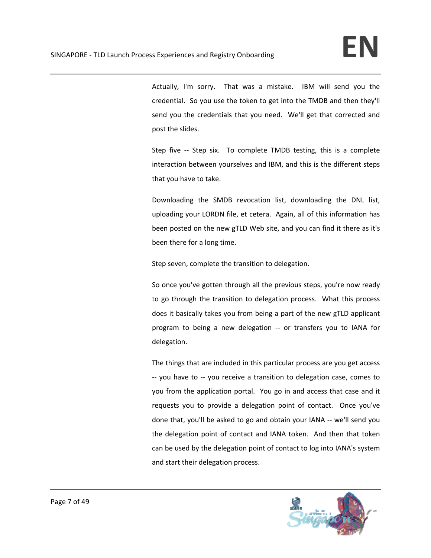Actually, I'm sorry. That was a mistake. IBM will send you the credential. So you use the token to get into the TMDB and then they'll send you the credentials that you need. We'll get that corrected and post the slides.

Step five -- Step six. To complete TMDB testing, this is a complete interaction between yourselves and IBM, and this is the different steps that you have to take.

Downloading the SMDB revocation list, downloading the DNL list, uploading your LORDN file, et cetera. Again, all of this information has been posted on the new gTLD Web site, and you can find it there as it's been there for a long time.

Step seven, complete the transition to delegation.

So once you've gotten through all the previous steps, you're now ready to go through the transition to delegation process. What this process does it basically takes you from being a part of the new gTLD applicant program to being a new delegation ‐‐ or transfers you to IANA for delegation.

The things that are included in this particular process are you get access ‐‐ you have to ‐‐ you receive a transition to delegation case, comes to you from the application portal. You go in and access that case and it requests you to provide a delegation point of contact. Once you've done that, you'll be asked to go and obtain your IANA ‐‐ we'll send you the delegation point of contact and IANA token. And then that token can be used by the delegation point of contact to log into IANA's system and start their delegation process.

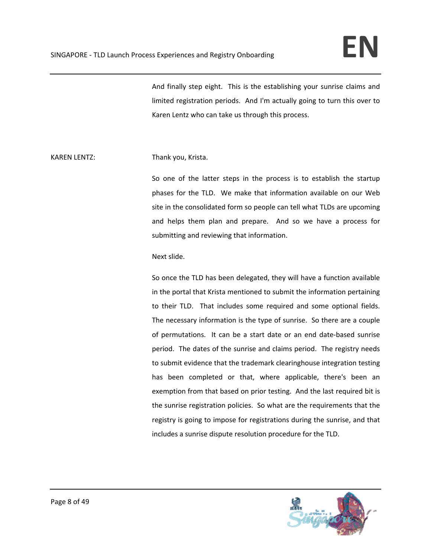And finally step eight. This is the establishing your sunrise claims and limited registration periods. And I'm actually going to turn this over to Karen Lentz who can take us through this process.

## KAREN LENTZ: Thank you, Krista.

So one of the latter steps in the process is to establish the startup phases for the TLD. We make that information available on our Web site in the consolidated form so people can tell what TLDs are upcoming and helps them plan and prepare. And so we have a process for submitting and reviewing that information.

## Next slide.

So once the TLD has been delegated, they will have a function available in the portal that Krista mentioned to submit the information pertaining to their TLD. That includes some required and some optional fields. The necessary information is the type of sunrise. So there are a couple of permutations. It can be a start date or an end date-based sunrise period. The dates of the sunrise and claims period. The registry needs to submit evidence that the trademark clearinghouse integration testing has been completed or that, where applicable, there's been an exemption from that based on prior testing. And the last required bit is the sunrise registration policies. So what are the requirements that the registry is going to impose for registrations during the sunrise, and that includes a sunrise dispute resolution procedure for the TLD.

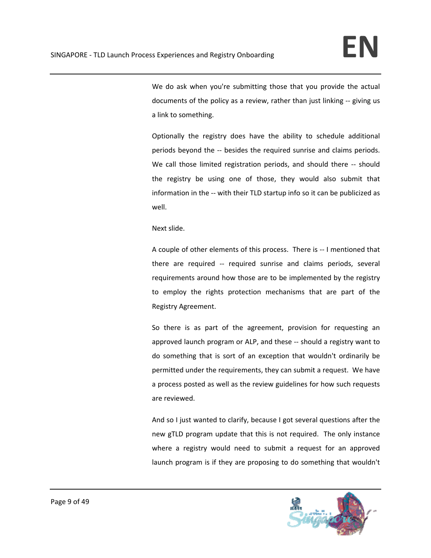We do ask when you're submitting those that you provide the actual documents of the policy as a review, rather than just linking ‐‐ giving us a link to something.

Optionally the registry does have the ability to schedule additional periods beyond the -- besides the required sunrise and claims periods. We call those limited registration periods, and should there -- should the registry be using one of those, they would also submit that information in the -- with their TLD startup info so it can be publicized as well.

Next slide.

A couple of other elements of this process. There is ‐‐ I mentioned that there are required -- required sunrise and claims periods, several requirements around how those are to be implemented by the registry to employ the rights protection mechanisms that are part of the Registry Agreement.

So there is as part of the agreement, provision for requesting an approved launch program or ALP, and these ‐‐ should a registry want to do something that is sort of an exception that wouldn't ordinarily be permitted under the requirements, they can submit a request. We have a process posted as well as the review guidelines for how such requests are reviewed.

And so I just wanted to clarify, because I got several questions after the new gTLD program update that this is not required. The only instance where a registry would need to submit a request for an approved launch program is if they are proposing to do something that wouldn't

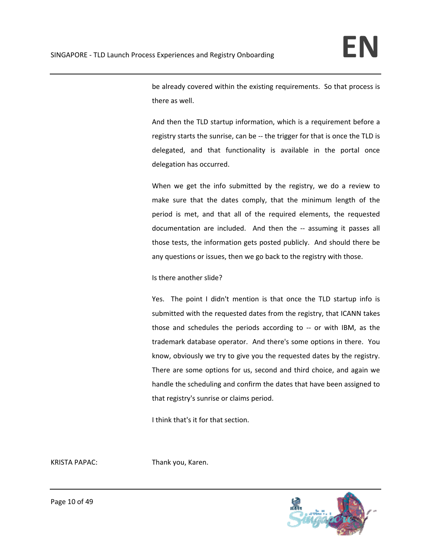be already covered within the existing requirements. So that process is there as well.

And then the TLD startup information, which is a requirement before a registry starts the sunrise, can be ‐‐ the trigger for that is once the TLD is delegated, and that functionality is available in the portal once delegation has occurred.

When we get the info submitted by the registry, we do a review to make sure that the dates comply, that the minimum length of the period is met, and that all of the required elements, the requested documentation are included. And then the -- assuming it passes all those tests, the information gets posted publicly. And should there be any questions or issues, then we go back to the registry with those.

Is there another slide?

Yes. The point I didn't mention is that once the TLD startup info is submitted with the requested dates from the registry, that ICANN takes those and schedules the periods according to ‐‐ or with IBM, as the trademark database operator. And there's some options in there. You know, obviously we try to give you the requested dates by the registry. There are some options for us, second and third choice, and again we handle the scheduling and confirm the dates that have been assigned to that registry's sunrise or claims period.

I think that's it for that section.

KRISTA PAPAC: Thank you, Karen.



Page 10 of 49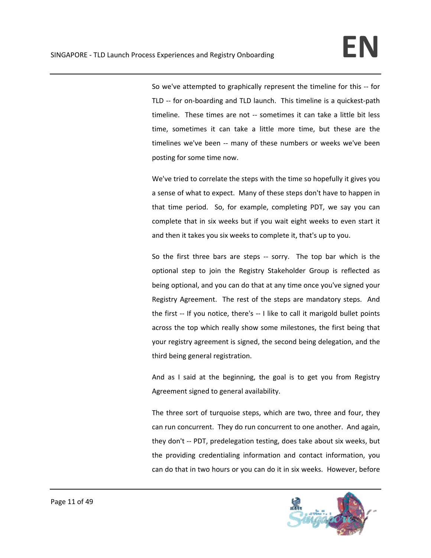So we've attempted to graphically represent the timeline for this ‐‐ for TLD -- for on-boarding and TLD launch. This timeline is a quickest-path timeline. These times are not ‐‐ sometimes it can take a little bit less time, sometimes it can take a little more time, but these are the timelines we've been -- many of these numbers or weeks we've been posting for some time now.

We've tried to correlate the steps with the time so hopefully it gives you a sense of what to expect. Many of these steps don't have to happen in that time period. So, for example, completing PDT, we say you can complete that in six weeks but if you wait eight weeks to even start it and then it takes you six weeks to complete it, that's up to you.

So the first three bars are steps -- sorry. The top bar which is the optional step to join the Registry Stakeholder Group is reflected as being optional, and you can do that at any time once you've signed your Registry Agreement. The rest of the steps are mandatory steps. And the first -- If you notice, there's -- I like to call it marigold bullet points across the top which really show some milestones, the first being that your registry agreement is signed, the second being delegation, and the third being general registration.

And as I said at the beginning, the goal is to get you from Registry Agreement signed to general availability.

The three sort of turquoise steps, which are two, three and four, they can run concurrent. They do run concurrent to one another. And again, they don't -- PDT, predelegation testing, does take about six weeks, but the providing credentialing information and contact information, you can do that in two hours or you can do it in six weeks. However, before

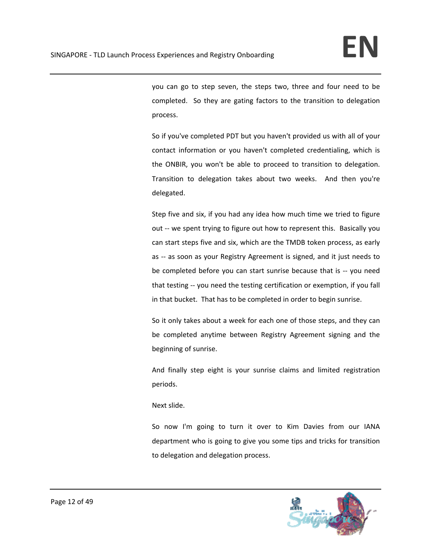you can go to step seven, the steps two, three and four need to be completed. So they are gating factors to the transition to delegation process.

So if you've completed PDT but you haven't provided us with all of your contact information or you haven't completed credentialing, which is the ONBIR, you won't be able to proceed to transition to delegation. Transition to delegation takes about two weeks. And then you're delegated.

Step five and six, if you had any idea how much time we tried to figure out -- we spent trying to figure out how to represent this. Basically you can start steps five and six, which are the TMDB token process, as early as ‐‐ as soon as your Registry Agreement is signed, and it just needs to be completed before you can start sunrise because that is ‐‐ you need that testing ‐‐ you need the testing certification or exemption, if you fall in that bucket. That has to be completed in order to begin sunrise.

So it only takes about a week for each one of those steps, and they can be completed anytime between Registry Agreement signing and the beginning of sunrise.

And finally step eight is your sunrise claims and limited registration periods.

Next slide.

So now I'm going to turn it over to Kim Davies from our IANA department who is going to give you some tips and tricks for transition to delegation and delegation process.

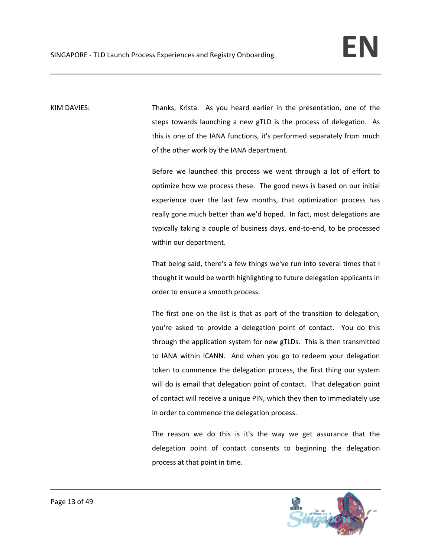KIM DAVIES: Thanks, Krista. As you heard earlier in the presentation, one of the steps towards launching a new gTLD is the process of delegation. As this is one of the IANA functions, it's performed separately from much of the other work by the IANA department.

> Before we launched this process we went through a lot of effort to optimize how we process these. The good news is based on our initial experience over the last few months, that optimization process has really gone much better than we'd hoped. In fact, most delegations are typically taking a couple of business days, end‐to‐end, to be processed within our department.

> That being said, there's a few things we've run into several times that I thought it would be worth highlighting to future delegation applicants in order to ensure a smooth process.

> The first one on the list is that as part of the transition to delegation, you're asked to provide a delegation point of contact. You do this through the application system for new gTLDs. This is then transmitted to IANA within ICANN. And when you go to redeem your delegation token to commence the delegation process, the first thing our system will do is email that delegation point of contact. That delegation point of contact will receive a unique PIN, which they then to immediately use in order to commence the delegation process.

> The reason we do this is it's the way we get assurance that the delegation point of contact consents to beginning the delegation process at that point in time.

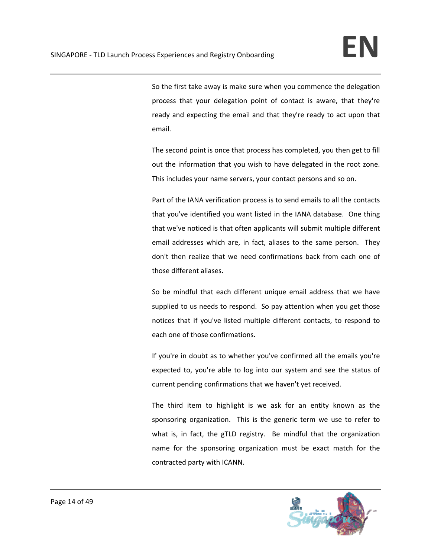So the first take away is make sure when you commence the delegation process that your delegation point of contact is aware, that they're ready and expecting the email and that they're ready to act upon that email.

The second point is once that process has completed, you then get to fill out the information that you wish to have delegated in the root zone. This includes your name servers, your contact persons and so on.

Part of the IANA verification process is to send emails to all the contacts that you've identified you want listed in the IANA database. One thing that we've noticed is that often applicants will submit multiple different email addresses which are, in fact, aliases to the same person. They don't then realize that we need confirmations back from each one of those different aliases.

So be mindful that each different unique email address that we have supplied to us needs to respond. So pay attention when you get those notices that if you've listed multiple different contacts, to respond to each one of those confirmations.

If you're in doubt as to whether you've confirmed all the emails you're expected to, you're able to log into our system and see the status of current pending confirmations that we haven't yet received.

The third item to highlight is we ask for an entity known as the sponsoring organization. This is the generic term we use to refer to what is, in fact, the gTLD registry. Be mindful that the organization name for the sponsoring organization must be exact match for the contracted party with ICANN.

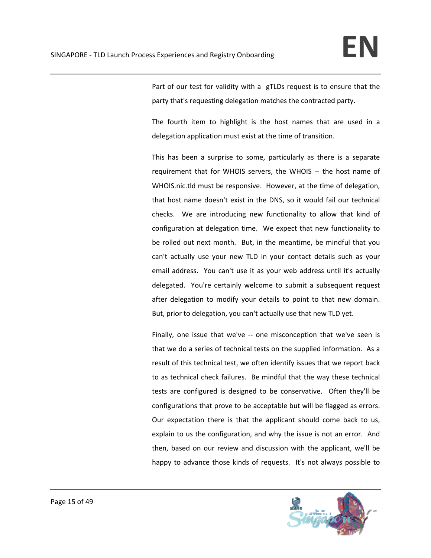Part of our test for validity with a gTLDs request is to ensure that the party that's requesting delegation matches the contracted party.

The fourth item to highlight is the host names that are used in a delegation application must exist at the time of transition.

This has been a surprise to some, particularly as there is a separate requirement that for WHOIS servers, the WHOIS ‐‐ the host name of WHOIS.nic.tld must be responsive. However, at the time of delegation, that host name doesn't exist in the DNS, so it would fail our technical checks. We are introducing new functionality to allow that kind of configuration at delegation time. We expect that new functionality to be rolled out next month. But, in the meantime, be mindful that you can't actually use your new TLD in your contact details such as your email address. You can't use it as your web address until it's actually delegated. You're certainly welcome to submit a subsequent request after delegation to modify your details to point to that new domain. But, prior to delegation, you can't actually use that new TLD yet.

Finally, one issue that we've -- one misconception that we've seen is that we do a series of technical tests on the supplied information. As a result of this technical test, we often identify issues that we report back to as technical check failures. Be mindful that the way these technical tests are configured is designed to be conservative. Often they'll be configurations that prove to be acceptable but will be flagged as errors. Our expectation there is that the applicant should come back to us, explain to us the configuration, and why the issue is not an error. And then, based on our review and discussion with the applicant, we'll be happy to advance those kinds of requests. It's not always possible to

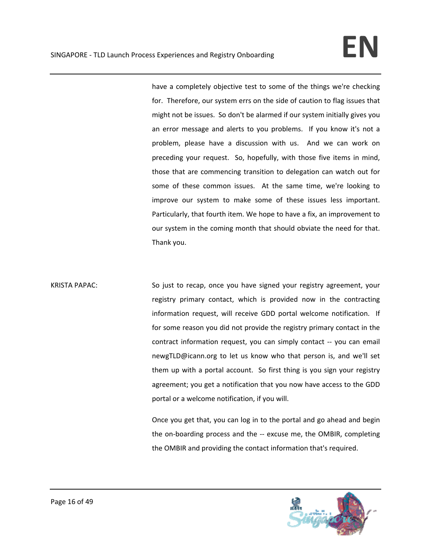have a completely objective test to some of the things we're checking for. Therefore, our system errs on the side of caution to flag issues that might not be issues. So don't be alarmed if our system initially gives you an error message and alerts to you problems. If you know it's not a problem, please have a discussion with us. And we can work on preceding your request. So, hopefully, with those five items in mind, those that are commencing transition to delegation can watch out for some of these common issues. At the same time, we're looking to improve our system to make some of these issues less important. Particularly, that fourth item. We hope to have a fix, an improvement to our system in the coming month that should obviate the need for that. Thank you.

KRISTA PAPAC: So just to recap, once you have signed your registry agreement, your registry primary contact, which is provided now in the contracting information request, will receive GDD portal welcome notification. If for some reason you did not provide the registry primary contact in the contract information request, you can simply contact ‐‐ you can email newgTLD@icann.org to let us know who that person is, and we'll set them up with a portal account. So first thing is you sign your registry agreement; you get a notification that you now have access to the GDD portal or a welcome notification, if you will.

> Once you get that, you can log in to the portal and go ahead and begin the on-boarding process and the -- excuse me, the OMBIR, completing the OMBIR and providing the contact information that's required.

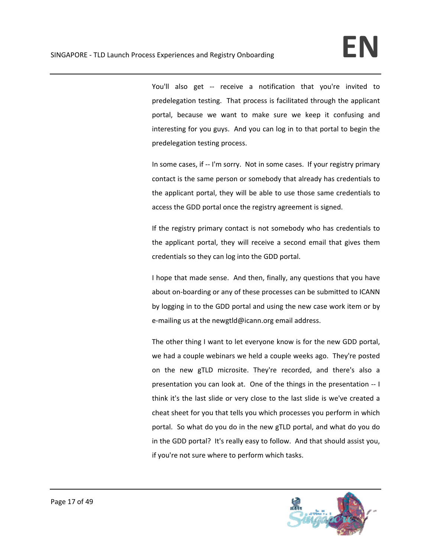You'll also get -- receive a notification that you're invited to predelegation testing. That process is facilitated through the applicant portal, because we want to make sure we keep it confusing and interesting for you guys. And you can log in to that portal to begin the predelegation testing process.

In some cases, if -- I'm sorry. Not in some cases. If your registry primary contact is the same person or somebody that already has credentials to the applicant portal, they will be able to use those same credentials to access the GDD portal once the registry agreement is signed.

If the registry primary contact is not somebody who has credentials to the applicant portal, they will receive a second email that gives them credentials so they can log into the GDD portal.

I hope that made sense. And then, finally, any questions that you have about on‐boarding or any of these processes can be submitted to ICANN by logging in to the GDD portal and using the new case work item or by e-mailing us at the newgtld@icann.org email address.

The other thing I want to let everyone know is for the new GDD portal, we had a couple webinars we held a couple weeks ago. They're posted on the new gTLD microsite. They're recorded, and there's also a presentation you can look at. One of the things in the presentation ‐‐ I think it's the last slide or very close to the last slide is we've created a cheat sheet for you that tells you which processes you perform in which portal. So what do you do in the new gTLD portal, and what do you do in the GDD portal? It's really easy to follow. And that should assist you, if you're not sure where to perform which tasks.

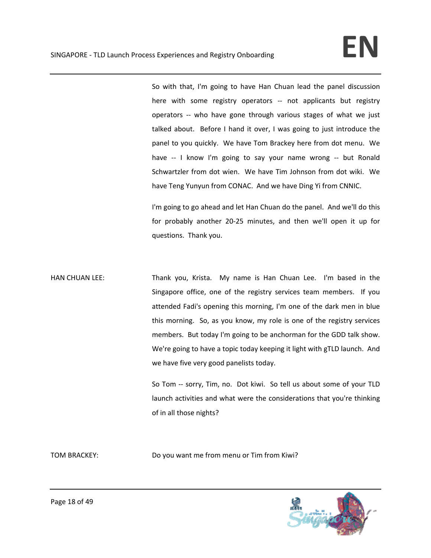So with that, I'm going to have Han Chuan lead the panel discussion here with some registry operators -- not applicants but registry operators ‐‐ who have gone through various stages of what we just talked about. Before I hand it over, I was going to just introduce the panel to you quickly. We have Tom Brackey here from dot menu. We have -- I know I'm going to say your name wrong -- but Ronald Schwartzler from dot wien. We have Tim Johnson from dot wiki. We have Teng Yunyun from CONAC. And we have Ding Yi from CNNIC.

I'm going to go ahead and let Han Chuan do the panel. And we'll do this for probably another 20‐25 minutes, and then we'll open it up for questions. Thank you.

HAN CHUAN LEE: Thank you, Krista. My name is Han Chuan Lee. I'm based in the Singapore office, one of the registry services team members. If you attended Fadi's opening this morning, I'm one of the dark men in blue this morning. So, as you know, my role is one of the registry services members. But today I'm going to be anchorman for the GDD talk show. We're going to have a topic today keeping it light with gTLD launch. And we have five very good panelists today.

> So Tom -- sorry, Tim, no. Dot kiwi. So tell us about some of your TLD launch activities and what were the considerations that you're thinking of in all those nights?

TOM BRACKEY: Do you want me from menu or Tim from Kiwi?

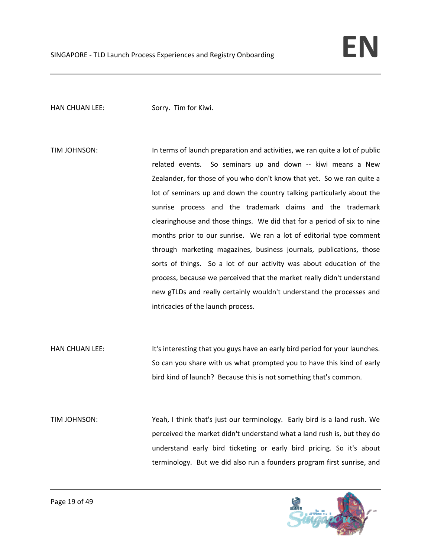## HAN CHUAN LEE: Sorry. Tim for Kiwi.

- TIM JOHNSON: In terms of launch preparation and activities, we ran quite a lot of public related events. So seminars up and down -- kiwi means a New Zealander, for those of you who don't know that yet. So we ran quite a lot of seminars up and down the country talking particularly about the sunrise process and the trademark claims and the trademark clearinghouse and those things. We did that for a period of six to nine months prior to our sunrise. We ran a lot of editorial type comment through marketing magazines, business journals, publications, those sorts of things. So a lot of our activity was about education of the process, because we perceived that the market really didn't understand new gTLDs and really certainly wouldn't understand the processes and intricacies of the launch process.
- HAN CHUAN LEE: It's interesting that you guys have an early bird period for your launches. So can you share with us what prompted you to have this kind of early bird kind of launch? Because this is not something that's common.
- TIM JOHNSON: Yeah, I think that's just our terminology. Early bird is a land rush. We perceived the market didn't understand what a land rush is, but they do understand early bird ticketing or early bird pricing. So it's about terminology. But we did also run a founders program first sunrise, and

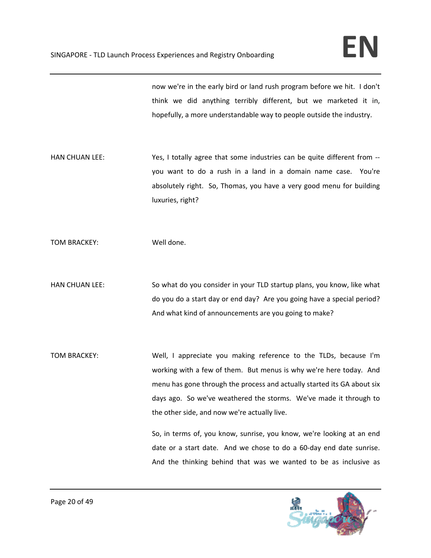now we're in the early bird or land rush program before we hit. I don't think we did anything terribly different, but we marketed it in, hopefully, a more understandable way to people outside the industry.

HAN CHUAN LEE:  Yes, I totally agree that some industries can be quite different from -you want to do a rush in a land in a domain name case. You're absolutely right. So, Thomas, you have a very good menu for building luxuries, right?

TOM BRACKEY: Well done.

- HAN CHUAN LEE: So what do you consider in your TLD startup plans, you know, like what do you do a start day or end day? Are you going have a special period? And what kind of announcements are you going to make?
- TOM BRACKEY: Well, I appreciate you making reference to the TLDs, because I'm working with a few of them. But menus is why we're here today. And menu has gone through the process and actually started its GA about six days ago. So we've weathered the storms. We've made it through to the other side, and now we're actually live.

So, in terms of, you know, sunrise, you know, we're looking at an end date or a start date. And we chose to do a 60‐day end date sunrise. And the thinking behind that was we wanted to be as inclusive as

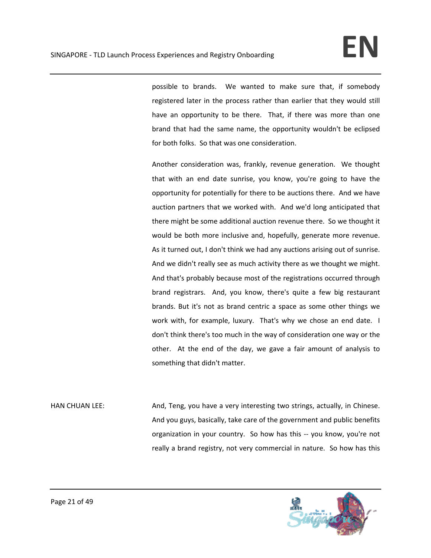possible to brands. We wanted to make sure that, if somebody registered later in the process rather than earlier that they would still have an opportunity to be there. That, if there was more than one brand that had the same name, the opportunity wouldn't be eclipsed for both folks. So that was one consideration.

Another consideration was, frankly, revenue generation. We thought that with an end date sunrise, you know, you're going to have the opportunity for potentially for there to be auctions there. And we have auction partners that we worked with. And we'd long anticipated that there might be some additional auction revenue there. So we thought it would be both more inclusive and, hopefully, generate more revenue. As it turned out, I don't think we had any auctions arising out of sunrise. And we didn't really see as much activity there as we thought we might. And that's probably because most of the registrations occurred through brand registrars. And, you know, there's quite a few big restaurant brands. But it's not as brand centric a space as some other things we work with, for example, luxury. That's why we chose an end date. I don't think there's too much in the way of consideration one way or the other. At the end of the day, we gave a fair amount of analysis to something that didn't matter.

HAN CHUAN LEE:  $\qquad \qquad$  And, Teng, you have a very interesting two strings, actually, in Chinese. And you guys, basically, take care of the government and public benefits organization in your country. So how has this ‐‐ you know, you're not really a brand registry, not very commercial in nature. So how has this

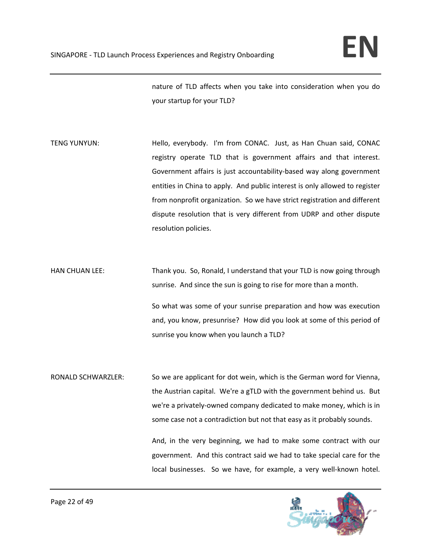nature of TLD affects when you take into consideration when you do your startup for your TLD?

TENG YUNYUN: Hello, everybody. I'm from CONAC. Just, as Han Chuan said, CONAC registry operate TLD that is government affairs and that interest. Government affairs is just accountability‐based way along government entities in China to apply. And public interest is only allowed to register from nonprofit organization. So we have strict registration and different dispute resolution that is very different from UDRP and other dispute resolution policies.

HAN CHUAN LEE: Thank you. So, Ronald, I understand that your TLD is now going through sunrise. And since the sun is going to rise for more than a month.

> So what was some of your sunrise preparation and how was execution and, you know, presunrise? How did you look at some of this period of sunrise you know when you launch a TLD?

RONALD SCHWARZLER: So we are applicant for dot wein, which is the German word for Vienna, the Austrian capital. We're a gTLD with the government behind us. But we're a privately‐owned company dedicated to make money, which is in some case not a contradiction but not that easy as it probably sounds.

> And, in the very beginning, we had to make some contract with our government. And this contract said we had to take special care for the local businesses. So we have, for example, a very well-known hotel.

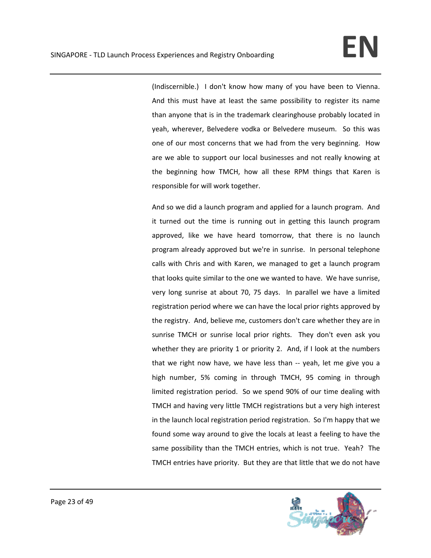(Indiscernible.) I don't know how many of you have been to Vienna. And this must have at least the same possibility to register its name than anyone that is in the trademark clearinghouse probably located in yeah, wherever, Belvedere vodka or Belvedere museum. So this was one of our most concerns that we had from the very beginning. How are we able to support our local businesses and not really knowing at the beginning how TMCH, how all these RPM things that Karen is responsible for will work together.

And so we did a launch program and applied for a launch program. And it turned out the time is running out in getting this launch program approved, like we have heard tomorrow, that there is no launch program already approved but we're in sunrise. In personal telephone calls with Chris and with Karen, we managed to get a launch program that looks quite similar to the one we wanted to have. We have sunrise, very long sunrise at about 70, 75 days. In parallel we have a limited registration period where we can have the local prior rights approved by the registry. And, believe me, customers don't care whether they are in sunrise TMCH or sunrise local prior rights. They don't even ask you whether they are priority 1 or priority 2. And, if I look at the numbers that we right now have, we have less than ‐‐ yeah, let me give you a high number, 5% coming in through TMCH, 95 coming in through limited registration period. So we spend 90% of our time dealing with TMCH and having very little TMCH registrations but a very high interest in the launch local registration period registration. So I'm happy that we found some way around to give the locals at least a feeling to have the same possibility than the TMCH entries, which is not true. Yeah? The TMCH entries have priority. But they are that little that we do not have

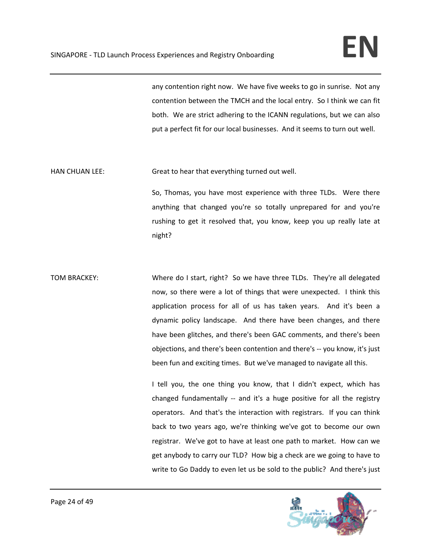any contention right now. We have five weeks to go in sunrise. Not any contention between the TMCH and the local entry. So I think we can fit both. We are strict adhering to the ICANN regulations, but we can also put a perfect fit for our local businesses. And it seems to turn out well.

HAN CHUAN LEE: Great to hear that everything turned out well.

So, Thomas, you have most experience with three TLDs. Were there anything that changed you're so totally unprepared for and you're rushing to get it resolved that, you know, keep you up really late at night?

TOM BRACKEY: Where do I start, right? So we have three TLDs. They're all delegated now, so there were a lot of things that were unexpected. I think this application process for all of us has taken years. And it's been a dynamic policy landscape. And there have been changes, and there have been glitches, and there's been GAC comments, and there's been objections, and there's been contention and there's ‐‐ you know, it's just been fun and exciting times. But we've managed to navigate all this.

> I tell you, the one thing you know, that I didn't expect, which has changed fundamentally -- and it's a huge positive for all the registry operators. And that's the interaction with registrars. If you can think back to two years ago, we're thinking we've got to become our own registrar. We've got to have at least one path to market. How can we get anybody to carry our TLD? How big a check are we going to have to write to Go Daddy to even let us be sold to the public? And there's just

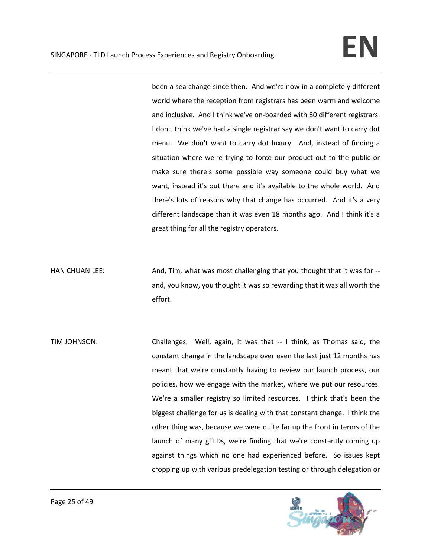been a sea change since then. And we're now in a completely different world where the reception from registrars has been warm and welcome and inclusive. And I think we've on‐boarded with 80 different registrars. I don't think we've had a single registrar say we don't want to carry dot menu. We don't want to carry dot luxury. And, instead of finding a situation where we're trying to force our product out to the public or make sure there's some possible way someone could buy what we want, instead it's out there and it's available to the whole world. And there's lots of reasons why that change has occurred. And it's a very different landscape than it was even 18 months ago. And I think it's a great thing for all the registry operators.

HAN CHUAN LEE: Mand, Tim, what was most challenging that you thought that it was for -and, you know, you thought it was so rewarding that it was all worth the effort.

TIM JOHNSON: Challenges. Well, again, it was that ‐‐ I think, as Thomas said, the constant change in the landscape over even the last just 12 months has meant that we're constantly having to review our launch process, our policies, how we engage with the market, where we put our resources. We're a smaller registry so limited resources. I think that's been the biggest challenge for us is dealing with that constant change. I think the other thing was, because we were quite far up the front in terms of the launch of many gTLDs, we're finding that we're constantly coming up against things which no one had experienced before. So issues kept cropping up with various predelegation testing or through delegation or

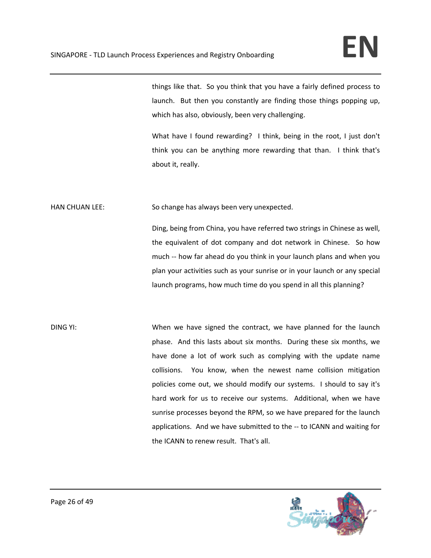things like that. So you think that you have a fairly defined process to launch. But then you constantly are finding those things popping up, which has also, obviously, been very challenging.

What have I found rewarding? I think, being in the root, I just don't think you can be anything more rewarding that than. I think that's about it, really.

HAN CHUAN LEE: So change has always been very unexpected.

Ding, being from China, you have referred two strings in Chinese as well, the equivalent of dot company and dot network in Chinese. So how much ‐‐ how far ahead do you think in your launch plans and when you plan your activities such as your sunrise or in your launch or any special launch programs, how much time do you spend in all this planning?

DING YI: When we have signed the contract, we have planned for the launch phase. And this lasts about six months. During these six months, we have done a lot of work such as complying with the update name collisions. You know, when the newest name collision mitigation policies come out, we should modify our systems. I should to say it's hard work for us to receive our systems. Additional, when we have sunrise processes beyond the RPM, so we have prepared for the launch applications. And we have submitted to the ‐‐ to ICANN and waiting for the ICANN to renew result. That's all.

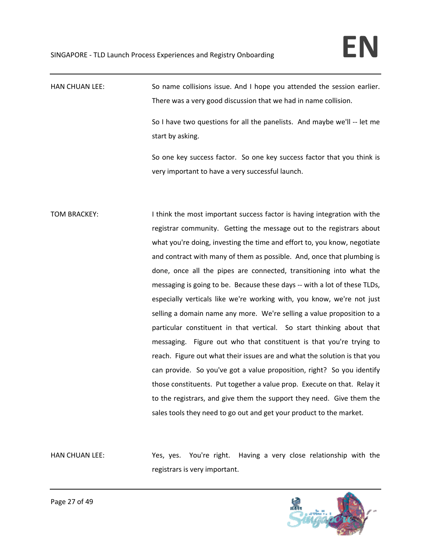HAN CHUAN LEE: So name collisions issue. And I hope you attended the session earlier. There was a very good discussion that we had in name collision.

> So I have two questions for all the panelists. And maybe we'll ‐‐ let me start by asking.

> So one key success factor. So one key success factor that you think is very important to have a very successful launch.

TOM BRACKEY: I think the most important success factor is having integration with the registrar community. Getting the message out to the registrars about what you're doing, investing the time and effort to, you know, negotiate and contract with many of them as possible. And, once that plumbing is done, once all the pipes are connected, transitioning into what the messaging is going to be. Because these days ‐‐ with a lot of these TLDs, especially verticals like we're working with, you know, we're not just selling a domain name any more. We're selling a value proposition to a particular constituent in that vertical. So start thinking about that messaging. Figure out who that constituent is that you're trying to reach. Figure out what their issues are and what the solution is that you can provide. So you've got a value proposition, right? So you identify those constituents. Put together a value prop. Execute on that. Relay it to the registrars, and give them the support they need. Give them the sales tools they need to go out and get your product to the market.

HAN CHUAN LEE: Yes, yes. You're right. Having a very close relationship with the registrars is very important.

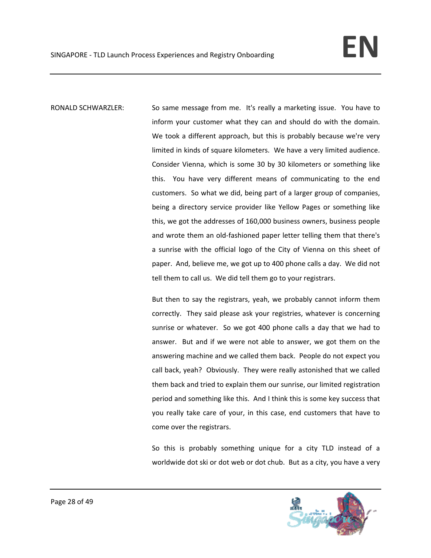RONALD SCHWARZLER: So same message from me. It's really a marketing issue. You have to inform your customer what they can and should do with the domain. We took a different approach, but this is probably because we're very limited in kinds of square kilometers. We have a very limited audience. Consider Vienna, which is some 30 by 30 kilometers or something like this. You have very different means of communicating to the end customers. So what we did, being part of a larger group of companies, being a directory service provider like Yellow Pages or something like this, we got the addresses of 160,000 business owners, business people and wrote them an old‐fashioned paper letter telling them that there's a sunrise with the official logo of the City of Vienna on this sheet of paper. And, believe me, we got up to 400 phone calls a day. We did not tell them to call us. We did tell them go to your registrars.

> But then to say the registrars, yeah, we probably cannot inform them correctly. They said please ask your registries, whatever is concerning sunrise or whatever. So we got 400 phone calls a day that we had to answer. But and if we were not able to answer, we got them on the answering machine and we called them back. People do not expect you call back, yeah? Obviously. They were really astonished that we called them back and tried to explain them our sunrise, our limited registration period and something like this. And I think this is some key success that you really take care of your, in this case, end customers that have to come over the registrars.

> So this is probably something unique for a city TLD instead of a worldwide dot ski or dot web or dot chub. But as a city, you have a very

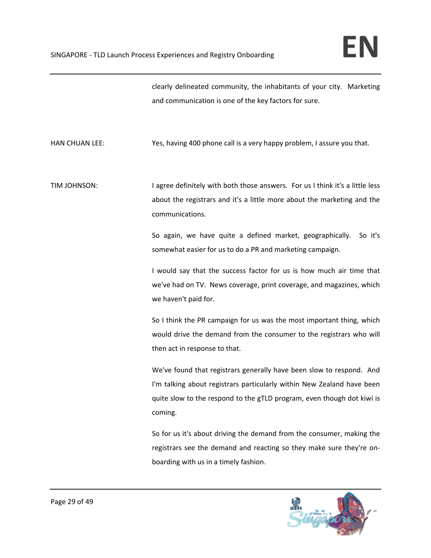clearly delineated community, the inhabitants of your city. Marketing and communication is one of the key factors for sure.

HAN CHUAN LEE: **Same a very happy problem, I assure you that.** It also not not in the system of the system of the system of the system of the system of the system of the system of the system of the system of the system of

TIM JOHNSON: I agree definitely with both those answers. For us I think it's a little less about the registrars and it's a little more about the marketing and the communications.

> So again, we have quite a defined market, geographically. So it's somewhat easier for us to do a PR and marketing campaign.

> I would say that the success factor for us is how much air time that we've had on TV. News coverage, print coverage, and magazines, which we haven't paid for.

> So I think the PR campaign for us was the most important thing, which would drive the demand from the consumer to the registrars who will then act in response to that.

> We've found that registrars generally have been slow to respond. And I'm talking about registrars particularly within New Zealand have been quite slow to the respond to the gTLD program, even though dot kiwi is coming.

> So for us it's about driving the demand from the consumer, making the registrars see the demand and reacting so they make sure they're on‐ boarding with us in a timely fashion.

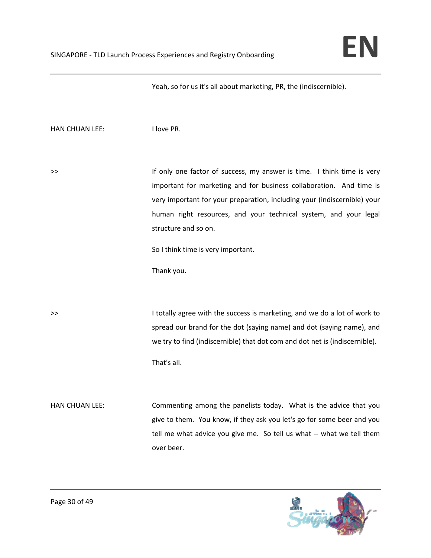Yeah, so for us it's all about marketing, PR, the (indiscernible).

HAN CHUAN LEE: I love PR.

>> If only one factor of success, my answer is time. I think time is very important for marketing and for business collaboration. And time is very important for your preparation, including your (indiscernible) your human right resources, and your technical system, and your legal structure and so on.

So I think time is very important.

Thank you.

>> I totally agree with the success is marketing, and we do a lot of work to spread our brand for the dot (saying name) and dot (saying name), and we try to find (indiscernible) that dot com and dot net is (indiscernible). That's all.

HAN CHUAN LEE: Commenting among the panelists today. What is the advice that you give to them. You know, if they ask you let's go for some beer and you tell me what advice you give me. So tell us what -- what we tell them over beer.

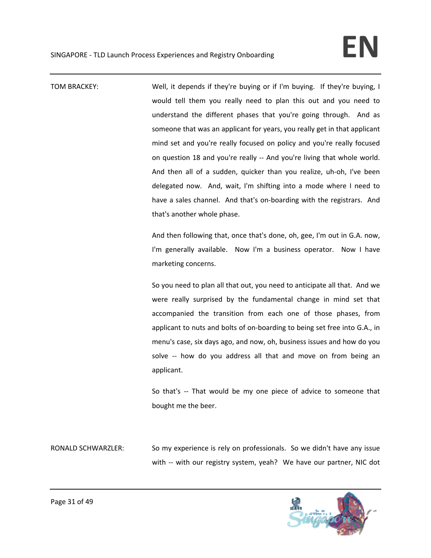TOM BRACKEY: Well, it depends if they're buying or if I'm buying. If they're buying, I would tell them you really need to plan this out and you need to understand the different phases that you're going through. And as someone that was an applicant for years, you really get in that applicant mind set and you're really focused on policy and you're really focused on question 18 and you're really ‐‐ And you're living that whole world. And then all of a sudden, quicker than you realize, uh‐oh, I've been delegated now. And, wait, I'm shifting into a mode where I need to have a sales channel. And that's on-boarding with the registrars. And that's another whole phase.

> And then following that, once that's done, oh, gee, I'm out in G.A. now, I'm generally available. Now I'm a business operator. Now I have marketing concerns.

> So you need to plan all that out, you need to anticipate all that. And we were really surprised by the fundamental change in mind set that accompanied the transition from each one of those phases, from applicant to nuts and bolts of on‐boarding to being set free into G.A., in menu's case, six days ago, and now, oh, business issues and how do you solve -- how do you address all that and move on from being an applicant.

> So that's -- That would be my one piece of advice to someone that bought me the beer.

RONALD SCHWARZLER: So my experience is rely on professionals. So we didn't have any issue with -- with our registry system, yeah? We have our partner, NIC dot

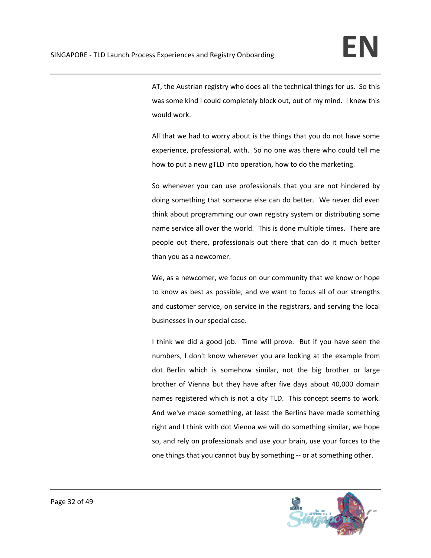AT, the Austrian registry who does all the technical things for us. So this was some kind I could completely block out, out of my mind. I knew this would work.

All that we had to worry about is the things that you do not have some experience, professional, with. So no one was there who could tell me how to put a new gTLD into operation, how to do the marketing.

So whenever you can use professionals that you are not hindered by doing something that someone else can do better. We never did even think about programming our own registry system or distributing some name service all over the world. This is done multiple times. There are people out there, professionals out there that can do it much better than you as a newcomer.

We, as a newcomer, we focus on our community that we know or hope to know as best as possible, and we want to focus all of our strengths and customer service, on service in the registrars, and serving the local businesses in our special case.

I think we did a good job. Time will prove. But if you have seen the numbers, I don't know wherever you are looking at the example from dot Berlin which is somehow similar, not the big brother or large brother of Vienna but they have after five days about 40,000 domain names registered which is not a city TLD. This concept seems to work. And we've made something, at least the Berlins have made something right and I think with dot Vienna we will do something similar, we hope so, and rely on professionals and use your brain, use your forces to the one things that you cannot buy by something ‐‐ or at something other.

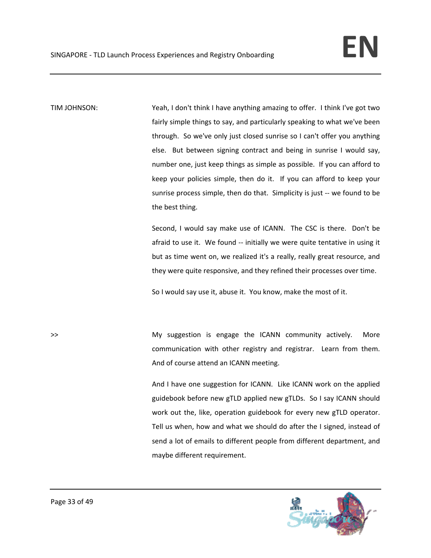TIM JOHNSON: Yeah, I don't think I have anything amazing to offer. I think I've got two fairly simple things to say, and particularly speaking to what we've been through. So we've only just closed sunrise so I can't offer you anything else. But between signing contract and being in sunrise I would say, number one, just keep things as simple as possible. If you can afford to keep your policies simple, then do it. If you can afford to keep your sunrise process simple, then do that. Simplicity is just -- we found to be the best thing.

> Second, I would say make use of ICANN. The CSC is there. Don't be afraid to use it. We found ‐‐ initially we were quite tentative in using it but as time went on, we realized it's a really, really great resource, and they were quite responsive, and they refined their processes over time.

So I would say use it, abuse it. You know, make the most of it.

>> **My suggestion is engage the ICANN community actively. More** communication with other registry and registrar. Learn from them. And of course attend an ICANN meeting.

> And I have one suggestion for ICANN. Like ICANN work on the applied guidebook before new gTLD applied new gTLDs. So I say ICANN should work out the, like, operation guidebook for every new gTLD operator. Tell us when, how and what we should do after the I signed, instead of send a lot of emails to different people from different department, and maybe different requirement.

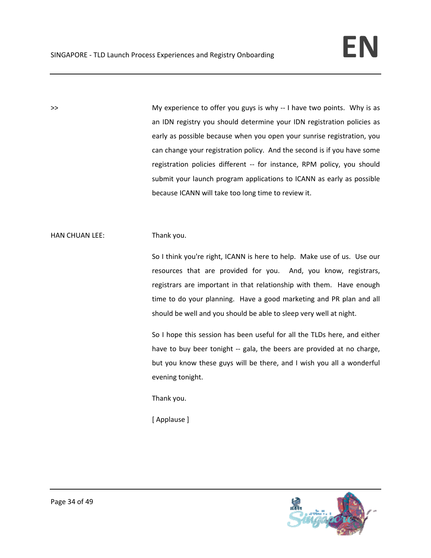>> **My experience to offer you guys is why -- I have two points.** Why is as an IDN registry you should determine your IDN registration policies as early as possible because when you open your sunrise registration, you can change your registration policy. And the second is if you have some registration policies different -- for instance, RPM policy, you should submit your launch program applications to ICANN as early as possible because ICANN will take too long time to review it.

## HAN CHUAN LEE: Thank you.

So I think you're right, ICANN is here to help. Make use of us. Use our resources that are provided for you. And, you know, registrars, registrars are important in that relationship with them. Have enough time to do your planning. Have a good marketing and PR plan and all should be well and you should be able to sleep very well at night.

So I hope this session has been useful for all the TLDs here, and either have to buy beer tonight -- gala, the beers are provided at no charge, but you know these guys will be there, and I wish you all a wonderful evening tonight.

Thank you.

[ Applause ]

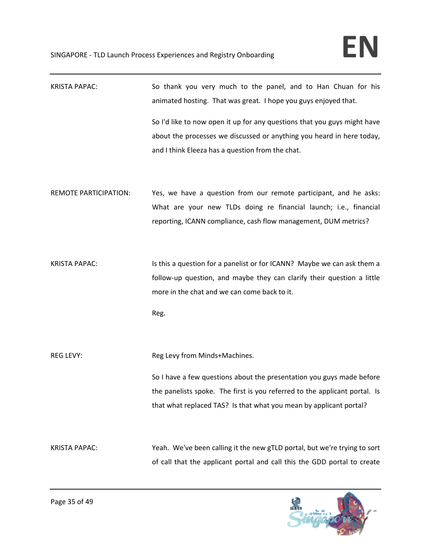| <b>KRISTA PAPAC:</b>         | So thank you very much to the panel, and to Han Chuan for his<br>animated hosting. That was great. I hope you guys enjoyed that.     |
|------------------------------|--------------------------------------------------------------------------------------------------------------------------------------|
|                              | So I'd like to now open it up for any questions that you guys might have                                                             |
|                              | about the processes we discussed or anything you heard in here today,                                                                |
|                              | and I think Eleeza has a question from the chat.                                                                                     |
| <b>REMOTE PARTICIPATION:</b> | Yes, we have a question from our remote participant, and he asks:                                                                    |
|                              | What are your new TLDs doing re financial launch; i.e., financial<br>reporting, ICANN compliance, cash flow management, DUM metrics? |
|                              |                                                                                                                                      |
| <b>KRISTA PAPAC:</b>         | Is this a question for a panelist or for ICANN? Maybe we can ask them a                                                              |
|                              | follow-up question, and maybe they can clarify their question a little                                                               |
|                              | more in the chat and we can come back to it.                                                                                         |
|                              | Reg.                                                                                                                                 |
| <b>REG LEVY:</b>             | Reg Levy from Minds+Machines.                                                                                                        |
|                              | So I have a few questions about the presentation you guys made before                                                                |
|                              | the panelists spoke. The first is you referred to the applicant portal. Is                                                           |
|                              | that what replaced TAS? Is that what you mean by applicant portal?                                                                   |
| <b>KRISTA PAPAC:</b>         | Yeah. We've been calling it the new gTLD portal, but we're trying to sort                                                            |
|                              | of call that the applicant portal and call this the GDD portal to create                                                             |

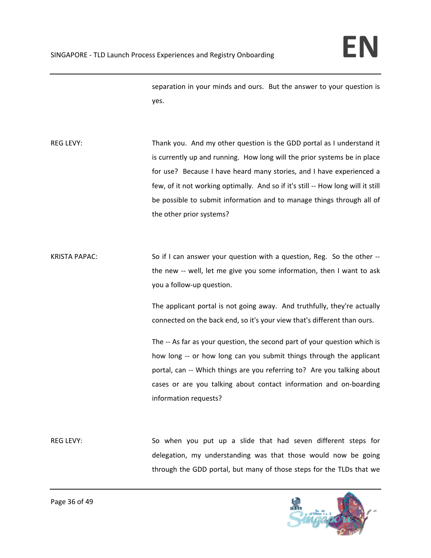separation in your minds and ours. But the answer to your question is yes.

REG LEVY: Thank you. And my other question is the GDD portal as I understand it is currently up and running. How long will the prior systems be in place for use? Because I have heard many stories, and I have experienced a few, of it not working optimally. And so if it's still -- How long will it still be possible to submit information and to manage things through all of the other prior systems?

KRISTA PAPAC: So if I can answer your question with a question, Reg. So the other -the new -- well, let me give you some information, then I want to ask you a follow‐up question.

> The applicant portal is not going away. And truthfully, they're actually connected on the back end, so it's your view that's different than ours.

> The -- As far as your question, the second part of your question which is how long -- or how long can you submit things through the applicant portal, can -- Which things are you referring to? Are you talking about cases or are you talking about contact information and on‐boarding information requests?

REG LEVY: So when you put up a slide that had seven different steps for delegation, my understanding was that those would now be going through the GDD portal, but many of those steps for the TLDs that we

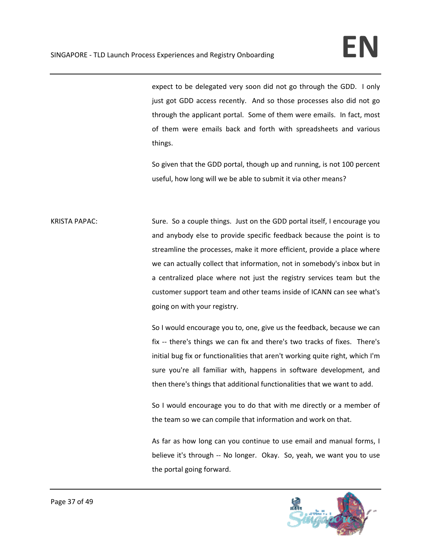expect to be delegated very soon did not go through the GDD. I only just got GDD access recently. And so those processes also did not go through the applicant portal. Some of them were emails. In fact, most of them were emails back and forth with spreadsheets and various things.

So given that the GDD portal, though up and running, is not 100 percent useful, how long will we be able to submit it via other means?

KRISTA PAPAC: Sure. So a couple things. Just on the GDD portal itself, I encourage you and anybody else to provide specific feedback because the point is to streamline the processes, make it more efficient, provide a place where we can actually collect that information, not in somebody's inbox but in a centralized place where not just the registry services team but the customer support team and other teams inside of ICANN can see what's going on with your registry.

> So I would encourage you to, one, give us the feedback, because we can fix -- there's things we can fix and there's two tracks of fixes. There's initial bug fix or functionalities that aren't working quite right, which I'm sure you're all familiar with, happens in software development, and then there's things that additional functionalities that we want to add.

> So I would encourage you to do that with me directly or a member of the team so we can compile that information and work on that.

> As far as how long can you continue to use email and manual forms, I believe it's through -- No longer. Okay. So, yeah, we want you to use the portal going forward.

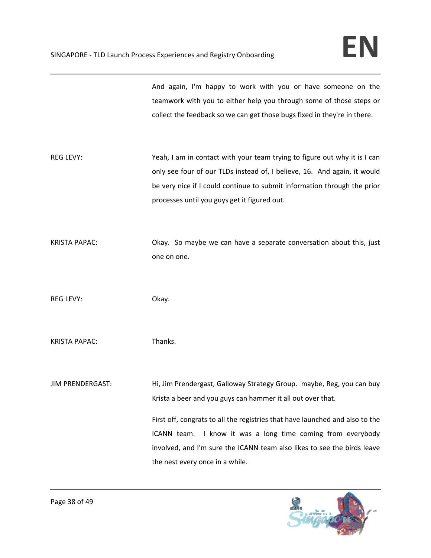And again, I'm happy to work with you or have someone on the teamwork with you to either help you through some of those steps or collect the feedback so we can get those bugs fixed in they're in there.

REG LEVY: Yeah, I am in contact with your team trying to figure out why it is I can only see four of our TLDs instead of, I believe, 16. And again, it would be very nice if I could continue to submit information through the prior processes until you guys get it figured out.

KRISTA PAPAC: Okay. So maybe we can have a separate conversation about this, just one on one.

REG LEVY: Chapter Collection Collection Collection Collection Collection Collection Collection Collection Collection Collection Collection Collection Collection Collection Collection Collection Collection Collection Collec

KRISTA PAPAC: Thanks.

JIM PRENDERGAST: Hi, Jim Prendergast, Galloway Strategy Group. maybe, Reg, you can buy Krista a beer and you guys can hammer it all out over that.

> First off, congrats to all the registries that have launched and also to the ICANN team. I know it was a long time coming from everybody involved, and I'm sure the ICANN team also likes to see the birds leave the nest every once in a while.

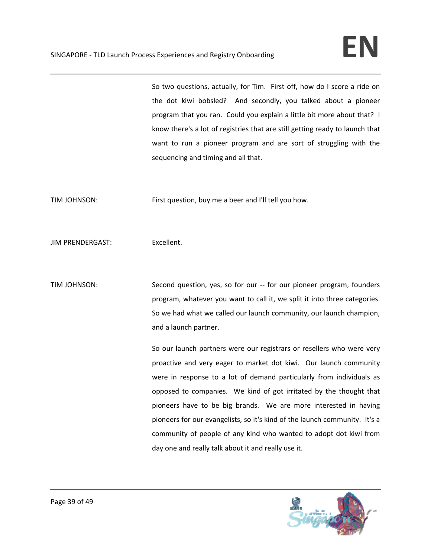So two questions, actually, for Tim. First off, how do I score a ride on the dot kiwi bobsled? And secondly, you talked about a pioneer program that you ran. Could you explain a little bit more about that? I know there's a lot of registries that are still getting ready to launch that want to run a pioneer program and are sort of struggling with the sequencing and timing and all that.

TIM JOHNSON: First question, buy me a beer and I'll tell you how.

JIM PRENDERGAST: Excellent.

TIM JOHNSON: Second question, yes, so for our -- for our pioneer program, founders program, whatever you want to call it, we split it into three categories. So we had what we called our launch community, our launch champion, and a launch partner.

> So our launch partners were our registrars or resellers who were very proactive and very eager to market dot kiwi. Our launch community were in response to a lot of demand particularly from individuals as opposed to companies. We kind of got irritated by the thought that pioneers have to be big brands. We are more interested in having pioneers for our evangelists, so it's kind of the launch community. It's a community of people of any kind who wanted to adopt dot kiwi from day one and really talk about it and really use it.

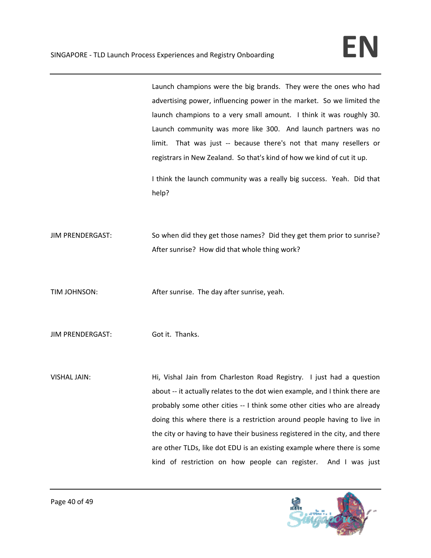Launch champions were the big brands. They were the ones who had advertising power, influencing power in the market. So we limited the launch champions to a very small amount. I think it was roughly 30. Launch community was more like 300. And launch partners was no limit. That was just -- because there's not that many resellers or registrars in New Zealand. So that's kind of how we kind of cut it up.

I think the launch community was a really big success. Yeah. Did that help?

JIM PRENDERGAST: So when did they get those names? Did they get them prior to sunrise? After sunrise? How did that whole thing work?

TIM JOHNSON: *After sunrise.* The day after sunrise, yeah.

JIM PRENDERGAST: Got it. Thanks.

VISHAL JAIN: Hi, Vishal Jain from Charleston Road Registry. I just had a question about -- it actually relates to the dot wien example, and I think there are probably some other cities ‐‐ I think some other cities who are already doing this where there is a restriction around people having to live in the city or having to have their business registered in the city, and there are other TLDs, like dot EDU is an existing example where there is some kind of restriction on how people can register. And I was just

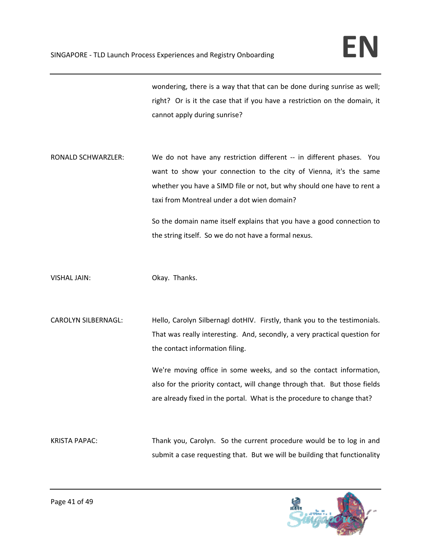wondering, there is a way that that can be done during sunrise as well; right? Or is it the case that if you have a restriction on the domain, it cannot apply during sunrise?

RONALD SCHWARZLER: We do not have any restriction different -- in different phases. You want to show your connection to the city of Vienna, it's the same whether you have a SIMD file or not, but why should one have to rent a taxi from Montreal under a dot wien domain?

> So the domain name itself explains that you have a good connection to the string itself. So we do not have a formal nexus.

VISHAL JAIN: Okay. Thanks.

CAROLYN SILBERNAGL: Hello, Carolyn Silbernagl dotHIV. Firstly, thank you to the testimonials. That was really interesting. And, secondly, a very practical question for the contact information filing.

> We're moving office in some weeks, and so the contact information, also for the priority contact, will change through that. But those fields are already fixed in the portal. What is the procedure to change that?

KRISTA PAPAC: Thank you, Carolyn. So the current procedure would be to log in and submit a case requesting that. But we will be building that functionality

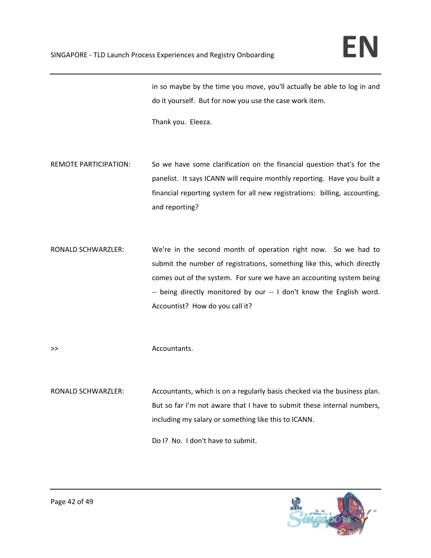in so maybe by the time you move, you'll actually be able to log in and do it yourself. But for now you use the case work item.

Thank you. Eleeza.

REMOTE PARTICIPATION: So we have some clarification on the financial question that's for the panelist. It says ICANN will require monthly reporting. Have you built a financial reporting system for all new registrations: billing, accounting, and reporting?

RONALD SCHWARZLER: We're in the second month of operation right now. So we had to submit the number of registrations, something like this, which directly comes out of the system. For sure we have an accounting system being ‐‐ being directly monitored by our ‐‐ I don't know the English word. Accountist? How do you call it?

>> Accountants.

RONALD SCHWARZLER: Accountants, which is on a regularly basis checked via the business plan. But so far I'm not aware that I have to submit these internal numbers, including my salary or something like this to ICANN.

Do I? No. I don't have to submit.

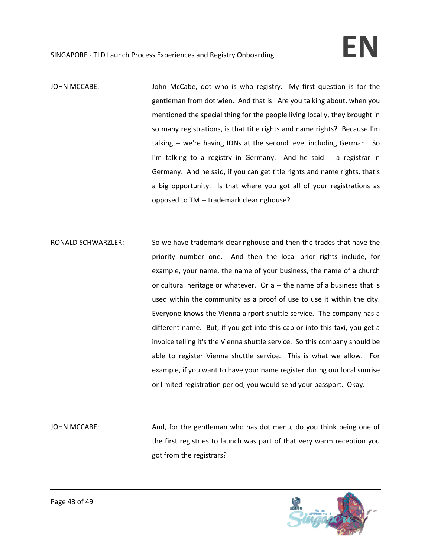JOHN MCCABE: John McCabe, dot who is who registry. My first question is for the gentleman from dot wien. And that is: Are you talking about, when you mentioned the special thing for the people living locally, they brought in so many registrations, is that title rights and name rights? Because I'm talking -- we're having IDNs at the second level including German. So I'm talking to a registry in Germany. And he said -- a registrar in Germany. And he said, if you can get title rights and name rights, that's a big opportunity. Is that where you got all of your registrations as opposed to TM ‐‐ trademark clearinghouse?

- RONALD SCHWARZLER: So we have trademark clearinghouse and then the trades that have the priority number one. And then the local prior rights include, for example, your name, the name of your business, the name of a church or cultural heritage or whatever. Or a ‐‐ the name of a business that is used within the community as a proof of use to use it within the city. Everyone knows the Vienna airport shuttle service. The company has a different name. But, if you get into this cab or into this taxi, you get a invoice telling it's the Vienna shuttle service. So this company should be able to register Vienna shuttle service. This is what we allow. For example, if you want to have your name register during our local sunrise or limited registration period, you would send your passport. Okay.
- JOHN MCCABE: Sand, for the gentleman who has dot menu, do you think being one of the first registries to launch was part of that very warm reception you got from the registrars?

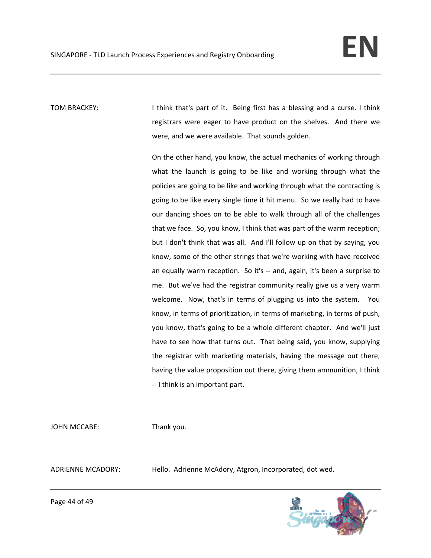TOM BRACKEY: I think that's part of it. Being first has a blessing and a curse. I think registrars were eager to have product on the shelves. And there we were, and we were available. That sounds golden.

> On the other hand, you know, the actual mechanics of working through what the launch is going to be like and working through what the policies are going to be like and working through what the contracting is going to be like every single time it hit menu. So we really had to have our dancing shoes on to be able to walk through all of the challenges that we face. So, you know, I think that was part of the warm reception; but I don't think that was all. And I'll follow up on that by saying, you know, some of the other strings that we're working with have received an equally warm reception. So it's -- and, again, it's been a surprise to me. But we've had the registrar community really give us a very warm welcome. Now, that's in terms of plugging us into the system. You know, in terms of prioritization, in terms of marketing, in terms of push, you know, that's going to be a whole different chapter. And we'll just have to see how that turns out. That being said, you know, supplying the registrar with marketing materials, having the message out there, having the value proposition out there, giving them ammunition, I think ‐‐ I think is an important part.

JOHN MCCABE: Thank you.

ADRIENNE MCADORY: Hello. Adrienne McAdory, Atgron, Incorporated, dot wed.



Page 44 of 49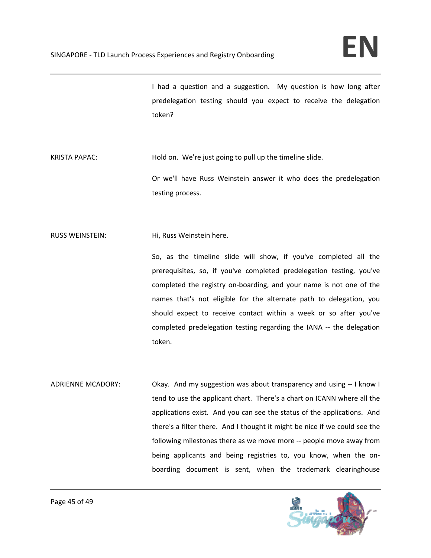I had a question and a suggestion. My question is how long after predelegation testing should you expect to receive the delegation token?

KRISTA PAPAC: Hold on. We're just going to pull up the timeline slide.

Or we'll have Russ Weinstein answer it who does the predelegation testing process.

RUSS WEINSTEIN: Hi, Russ Weinstein here.

So, as the timeline slide will show, if you've completed all the prerequisites, so, if you've completed predelegation testing, you've completed the registry on‐boarding, and your name is not one of the names that's not eligible for the alternate path to delegation, you should expect to receive contact within a week or so after you've completed predelegation testing regarding the IANA ‐‐ the delegation token.

ADRIENNE MCADORY: Okay. And my suggestion was about transparency and using ‐‐ I know I tend to use the applicant chart. There's a chart on ICANN where all the applications exist. And you can see the status of the applications. And there's a filter there. And I thought it might be nice if we could see the following milestones there as we move more ‐‐ people move away from being applicants and being registries to, you know, when the onboarding document is sent, when the trademark clearinghouse

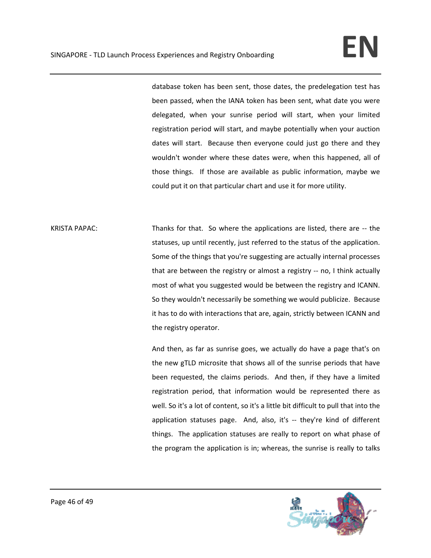database token has been sent, those dates, the predelegation test has been passed, when the IANA token has been sent, what date you were delegated, when your sunrise period will start, when your limited registration period will start, and maybe potentially when your auction dates will start. Because then everyone could just go there and they wouldn't wonder where these dates were, when this happened, all of those things. If those are available as public information, maybe we could put it on that particular chart and use it for more utility.

KRISTA PAPAC: Thanks for that. So where the applications are listed, there are -- the statuses, up until recently, just referred to the status of the application. Some of the things that you're suggesting are actually internal processes that are between the registry or almost a registry ‐‐ no, I think actually most of what you suggested would be between the registry and ICANN. So they wouldn't necessarily be something we would publicize. Because it has to do with interactions that are, again, strictly between ICANN and the registry operator.

> And then, as far as sunrise goes, we actually do have a page that's on the new gTLD microsite that shows all of the sunrise periods that have been requested, the claims periods. And then, if they have a limited registration period, that information would be represented there as well. So it's a lot of content, so it's a little bit difficult to pull that into the application statuses page. And, also, it's -- they're kind of different things. The application statuses are really to report on what phase of the program the application is in; whereas, the sunrise is really to talks

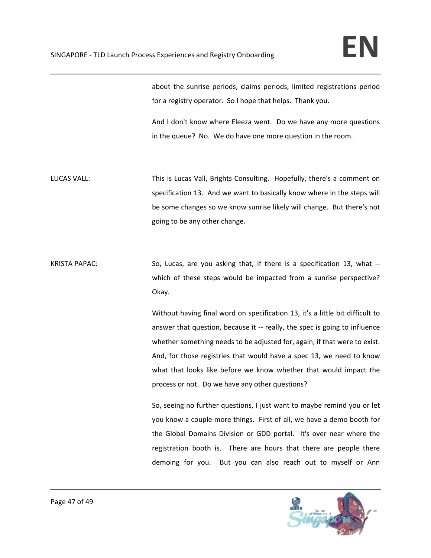about the sunrise periods, claims periods, limited registrations period for a registry operator. So I hope that helps. Thank you.

And I don't know where Eleeza went. Do we have any more questions in the queue? No. We do have one more question in the room.

LUCAS VALL: This is Lucas Vall, Brights Consulting. Hopefully, there's a comment on specification 13. And we want to basically know where in the steps will be some changes so we know sunrise likely will change. But there's not going to be any other change.

KRISTA PAPAC: So, Lucas, are you asking that, if there is a specification 13, what -which of these steps would be impacted from a sunrise perspective? Okay.

> Without having final word on specification 13, it's a little bit difficult to answer that question, because it ‐‐ really, the spec is going to influence whether something needs to be adjusted for, again, if that were to exist. And, for those registries that would have a spec 13, we need to know what that looks like before we know whether that would impact the process or not. Do we have any other questions?

> So, seeing no further questions, I just want to maybe remind you or let you know a couple more things. First of all, we have a demo booth for the Global Domains Division or GDD portal. It's over near where the registration booth is. There are hours that there are people there demoing for you. But you can also reach out to myself or Ann

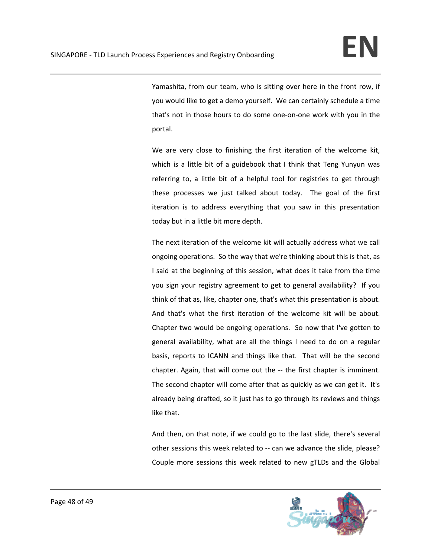Yamashita, from our team, who is sitting over here in the front row, if you would like to get a demo yourself. We can certainly schedule a time that's not in those hours to do some one‐on‐one work with you in the portal.

We are very close to finishing the first iteration of the welcome kit, which is a little bit of a guidebook that I think that Teng Yunyun was referring to, a little bit of a helpful tool for registries to get through these processes we just talked about today. The goal of the first iteration is to address everything that you saw in this presentation today but in a little bit more depth.

The next iteration of the welcome kit will actually address what we call ongoing operations. So the way that we're thinking about this is that, as I said at the beginning of this session, what does it take from the time you sign your registry agreement to get to general availability? If you think of that as, like, chapter one, that's what this presentation is about. And that's what the first iteration of the welcome kit will be about. Chapter two would be ongoing operations. So now that I've gotten to general availability, what are all the things I need to do on a regular basis, reports to ICANN and things like that. That will be the second chapter. Again, that will come out the ‐‐ the first chapter is imminent. The second chapter will come after that as quickly as we can get it. It's already being drafted, so it just has to go through its reviews and things like that.

And then, on that note, if we could go to the last slide, there's several other sessions this week related to ‐‐ can we advance the slide, please? Couple more sessions this week related to new gTLDs and the Global